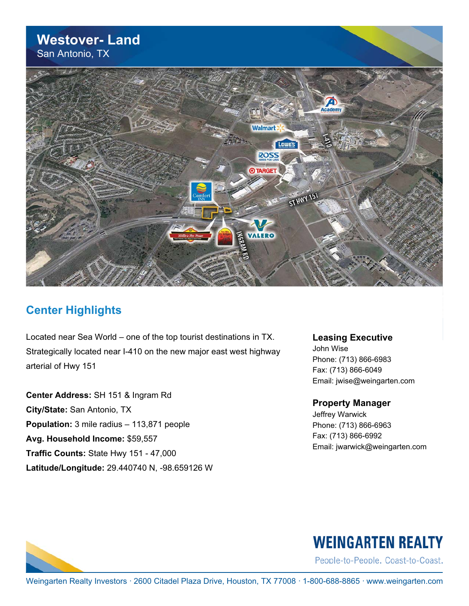#### **Westover- Land** San Antonio, TX



#### **Center Highlights**

Located near Sea World – one of the top tourist destinations in TX. Strategically located near I-410 on the new major east west highway arterial of Hwy 151

**Center Address:** SH 151 & Ingram Rd **City/State:** San Antonio, TX **Population:** 3 mile radius – 113,871 people **Avg. Household Income:** \$59,557 **Traffic Counts:** State Hwy 151 - 47,000 **Latitude/Longitude:** 29.440740 N, -98.659126 W **Leasing Executive**

John Wise Phone: (713) 866-6983 Fax: (713) 866-6049 Email: jwise@weingarten.com

#### **Property Manager**

Jeffrey Warwick Phone: (713) 866-6963 Fax: (713) 866-6992 Email: jwarwick@weingarten.com



## **WEINGARTEN REALTY**

People-to-People. Coast-to-Coast.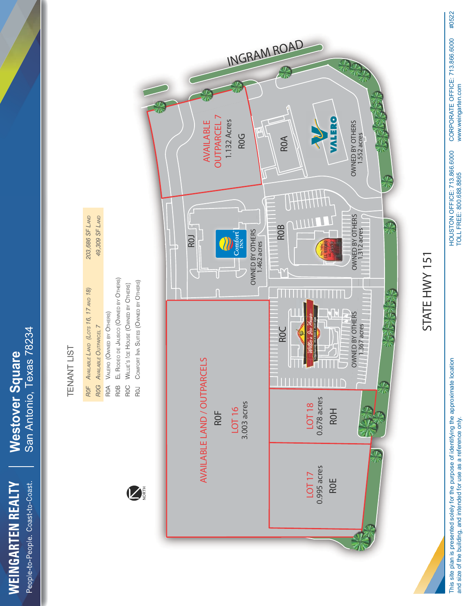

# **TENANT LIST** TENANT LIST

**ROF** AVAILABLE LAND (LOTS 16, 17 AND 18)

*AVAILABLE LAND (LOTS 16, 17 AND 18)*

*203,686 SF LAND 49,309 SF LAND*

203,686 SF LAND 49,309 SF LAND

> **ROG** AVAILABLE OUTPARCEL 7 ROA VALERO (OWNED BY OTHERS)

*AVAILABLE OUTPARCEL 7*

VALERO (OWNED BY OTHERS)



STATE HWY 151 STATE HWY 151

TOLL FREE: 800.688.8865 This site plan is presented solely for the purpose of identifying the approximate location This site plan is presented solely for the purpose of identifying the approximate location and size of the building, and intended for use as a reference only. and size of the building, and intended for use as a reference only.

HOUSTON OFFICE: 713.866.6000<br>TOLL FREE: 800.688.8865 HOUSTON OFFICE: 713.866.6000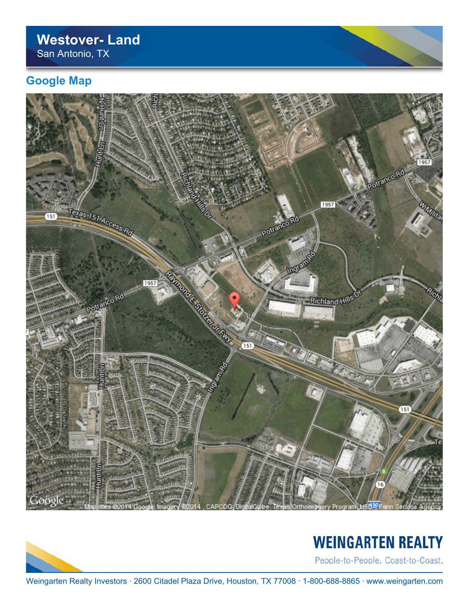#### **Westover- Land** San Antonio, TX

#### **Google Map**





## **WEINGARTEN REALTY**

People-to-People. Coast-to-Coast.

Weingarten Realty Investors · 2600 Citadel Plaza Drive, Houston, TX 77008 · 1-800-688-8865 · www.weingarten.com